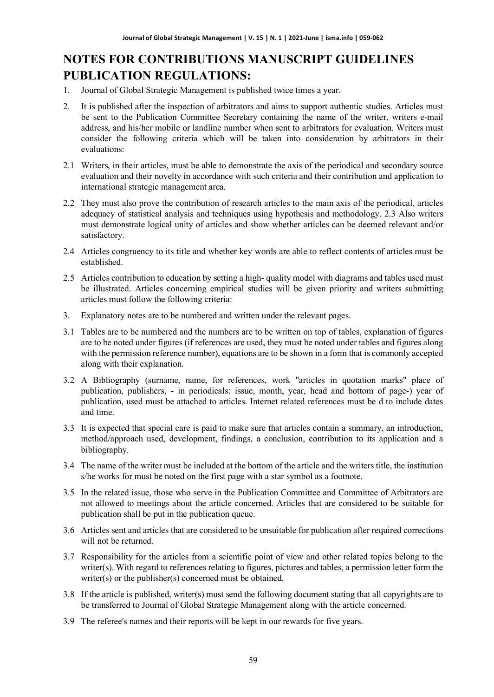# **NOTES FOR CONTRIBUTIONS MANUSCRIPT GUIDELINES PUBLICATION REGULATIONS:**

- 1. Journal of Global Strategic Management is published twice times a year.
- 2. It is published after the inspection of arbitrators and aims to support authentic studies. Articles must be sent to the Publication Committee Secretary containing the name of the writer, writers e-mail address, and his/her mobile or landline number when sent to arbitrators for evaluation. Writers must consider the following criteria which will be taken into consideration by arbitrators in their evaluations:
- 2.1 Writers, in their articles, must be able to demonstrate the axis of the periodical and secondary source evaluation and their novelty in accordance with such criteria and their contribution and application to international strategic management area.
- 2.2 They must also prove the contribution of research articles to the main axis of the periodical, articles adequacy of statistical analysis and techniques using hypothesis and methodology. 2.3 Also writers must demonstrate logical unity of articles and show whether articles can be deemed relevant and/or satisfactory.
- 2.4 Articles congruency to its title and whether key words are able to reflect contents of articles must be established.
- 2.5 Articles contribution to education by setting a high- quality model with diagrams and tables used must be illustrated. Articles concerning empirical studies will be given priority and writers submitting articles must follow the following criteria:
- 3. Explanatory notes are to be numbered and written under the relevant pages.
- 3.1 Tables are to be numbered and the numbers are to be written on top of tables, explanation of figures are to be noted under figures (if references are used, they must be noted under tables and figures along with the permission reference number), equations are to be shown in a form that is commonly accepted along with their explanation.
- 3.2 A Bibliography (surname, name, for references, work "articles in quotation marks" place of publication, publishers, - in periodicals: issue, month, year, head and bottom of page-) year of publication, used must be attached to articles. Internet related references must be d to include dates and time.
- 3.3 It is expected that special care is paid to make sure that articles contain a summary, an introduction, method/approach used, development, findings, a conclusion, contribution to its application and a bibliography.
- 3.4 The name of the writer must be included at the bottom of the article and the writers title, the institution s/he works for must be noted on the first page with a star symbol as a footnote.
- 3.5 In the related issue, those who serve in the Publication Committee and Committee of Arbitrators are not allowed to meetings about the article concerned. Articles that are considered to be suitable for publication shall be put in the publication queue.
- 3.6 Articles sent and articles that are considered to be unsuitable for publication after required corrections will not be returned.
- 3.7 Responsibility for the articles from a scientific point of view and other related topics belong to the writer(s). With regard to references relating to figures, pictures and tables, a permission letter form the writer(s) or the publisher(s) concerned must be obtained.
- 3.8 If the article is published, writer(s) must send the following document stating that all copyrights are to be transferred to Journal of Global Strategic Management along with the article concerned.
- 3.9 The referee's names and their reports will be kept in our rewards for five years.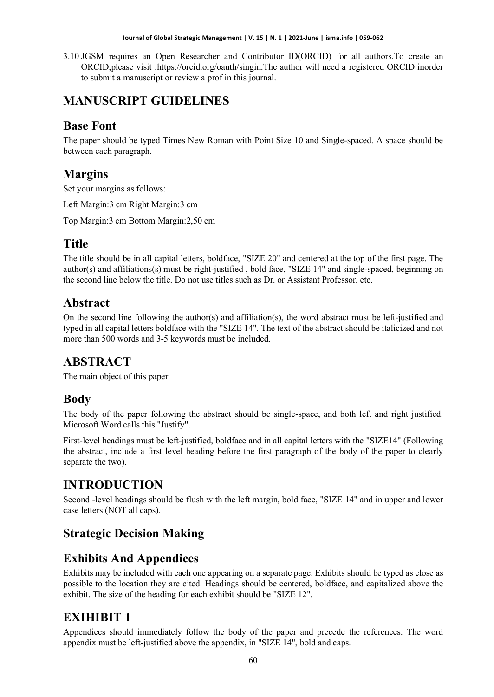#### **Journal of Global Strategic Management | V. 15 | N. 1 | 2021-June | isma.info | 059-062**

3.10 JGSM requires an Open Researcher and Contributor ID(ORCID) for all authors.To create an ORCID,please visit :https://orcid.org/oauth/singin.The author will need a registered ORCID inorder to submit a manuscript or review a prof in this journal.

# **MANUSCRIPT GUIDELINES**

## **Base Font**

The paper should be typed Times New Roman with Point Size 10 and Single-spaced. A space should be between each paragraph.

## **Margins**

Set your margins as follows:

Left Margin:3 cm Right Margin:3 cm

Top Margin:3 cm Bottom Margin:2,50 cm

## **Title**

The title should be in all capital letters, boldface, "SIZE 20" and centered at the top of the first page. The author(s) and affiliations(s) must be right-justified , bold face, "SIZE 14" and single-spaced, beginning on the second line below the title. Do not use titles such as Dr. or Assistant Professor. etc.

#### **Abstract**

On the second line following the author(s) and affiliation(s), the word abstract must be left-justified and typed in all capital letters boldface with the "SIZE 14". The text of the abstract should be italicized and not more than 500 words and 3-5 keywords must be included.

## **ABSTRACT**

The main object of this paper

## **Body**

The body of the paper following the abstract should be single-space, and both left and right justified. Microsoft Word calls this "Justify".

First-level headings must be left-justified, boldface and in all capital letters with the "SIZE14" (Following the abstract, include a first level heading before the first paragraph of the body of the paper to clearly separate the two).

# **INTRODUCTION**

Second -level headings should be flush with the left margin, bold face, "SIZE 14" and in upper and lower case letters (NOT all caps).

# **Strategic Decision Making**

# **Exhibits And Appendices**

Exhibits may be included with each one appearing on a separate page. Exhibits should be typed as close as possible to the location they are cited. Headings should be centered, boldface, and capitalized above the exhibit. The size of the heading for each exhibit should be "SIZE 12".

# **EXIHIBIT 1**

Appendices should immediately follow the body of the paper and precede the references. The word appendix must be left-justified above the appendix, in "SIZE 14", bold and caps.